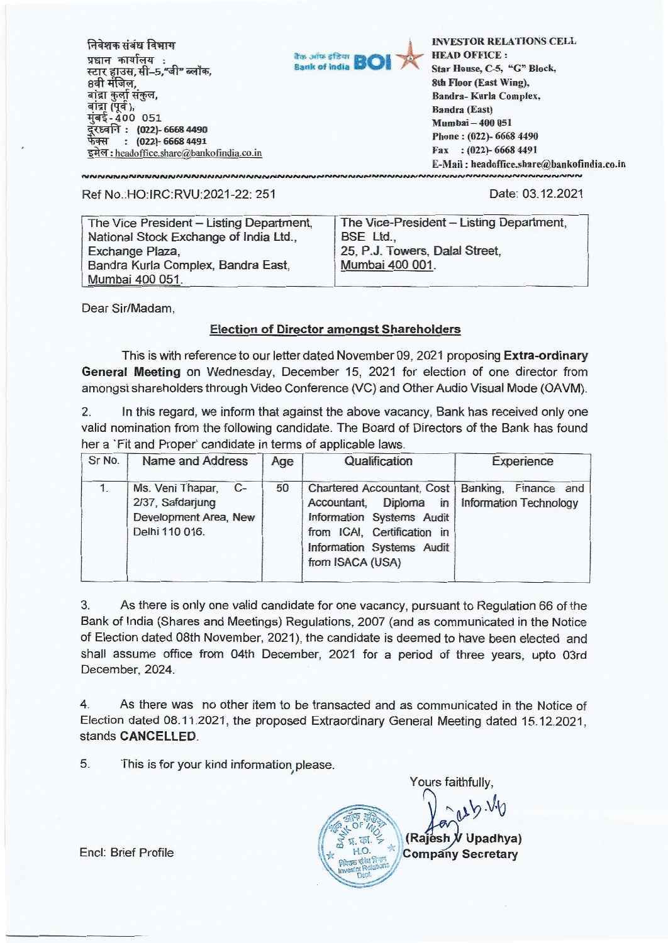| निवेशक संबंध विभाग<br>प्रधान कार्यालय:<br>स्टार हाउस, सी-5,"जी" ब्लॉक,<br>बाद्रा कुला सकुल,<br>बाद्रा (पूर्व )<br>मुंबई-400 051<br>(022)-6668 4490<br>दूरध्वनि :<br>फेक्स :<br>$: (022) - 66684491$<br>इमेल: headoffice.share@bankofindia.co.in | are arise sfam <b>BOI</b> | <b>INVESTOR RELATIONS CELL</b><br><b>HEAD OFFICE:</b><br>Star House, C-5, "G" Block,<br>8th Floor (East Wing),<br>Bandra-Kurla Complex,<br><b>Bandra (East)</b><br>Mumbai - 400 051 |
|-------------------------------------------------------------------------------------------------------------------------------------------------------------------------------------------------------------------------------------------------|---------------------------|-------------------------------------------------------------------------------------------------------------------------------------------------------------------------------------|
|                                                                                                                                                                                                                                                 |                           | Phone: (022)-6668 4490<br>Fax: $(022)$ -6668 4491                                                                                                                                   |
|                                                                                                                                                                                                                                                 |                           | E-Mail: headoffice.share@bankofindia.co.in                                                                                                                                          |

## Ref No.:HO:IRC:RVU:2021-22: 251

Date: 03.12.2021

| The Vice President - Listing Department, | The Vice-President - Listing Department, |
|------------------------------------------|------------------------------------------|
| National Stock Exchange of India Ltd.,   | BSE Ltd.,                                |
| Exchange Plaza,                          | 25, P.J. Towers, Dalal Street,           |
| Bandra Kurla Complex, Bandra East,       | Mumbai 400 001.                          |
| Mumbai 400 051.                          |                                          |

Dear Sir/Madam,

## **Election of Director amongst Shareholders**

This is with reference to our letter dated November 09, 2021 proposing **Extra-ordinary General Meeting** on Wednesday, December 15, 2021 for election of one director from amongst shareholders through Video Conference (VC) and Other Audio Visual Mode (OAVM).

2. In this regard, we inform that against the above vacancy, Bank has received only one valid nomination from the following candidate. The Board of Directors of the Bank has found her a 'Fit and Proper' candidate in terms of applicable laws.

| Sr No. | <b>Name and Address</b>                                                                 | Age | Qualification                                                                                                                                                                                                   | Experience |
|--------|-----------------------------------------------------------------------------------------|-----|-----------------------------------------------------------------------------------------------------------------------------------------------------------------------------------------------------------------|------------|
|        | Ms. Veni Thapar,<br>$C-$<br>2/37, Safdarjung<br>Development Area, New<br>Delhi 110 016. | 50  | Chartered Accountant, Cost   Banking, Finance and<br>Accountant, Diploma in Information Technology<br>Information Systems Audit<br>from ICAI, Certification in<br>Information Systems Audit<br>from ISACA (USA) |            |

3. As there is only one valid candidate for one vacancy, pursuant to Regulation 66 of the Bank of India (Shares and Meetings) Regulations, 2007 (and as communicated in the Notice of Election dated 08th November, 2021), the candidate is deemed to have been elected and shall assume office from 04th December, 2021 for a period of three years, upto 03rd December, 2024.

4. As there was no other item to be transacted and as communicated in the Notice of Election dated 08.11.2021, the proposed Extraordinary General Meeting dated 15.12.2021, stands **CANCELLED.** 

5. This is for your kind information please.

Yours faithfully,  $Sub.49$  $10F$   $10x$ **(Rajesh Upadhya) Company Secretary Wax, Relations** 

Encl: Brief Profile